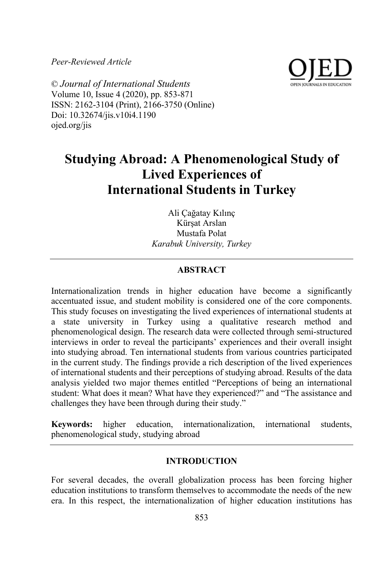*Peer-Reviewed Article*



© *Journal of International Students* Volume 10, Issue 4 (2020), pp. 853-871 ISSN: 2162-3104 (Print), 2166-3750 (Online) Doi: 10.32674/jis.v10i4.1190 ojed.org/jis

# **Studying Abroad: A Phenomenological Study of Lived Experiences of International Students in Turkey**

Ali Çağatay Kılınç Kürşat Arslan Mustafa Polat *Karabuk University, Turkey*

# **ABSTRACT**

Internationalization trends in higher education have become a significantly accentuated issue, and student mobility is considered one of the core components. This study focuses on investigating the lived experiences of international students at a state university in Turkey using a qualitative research method and phenomenological design. The research data were collected through semi-structured interviews in order to reveal the participants' experiences and their overall insight into studying abroad. Ten international students from various countries participated in the current study. The findings provide a rich description of the lived experiences of international students and their perceptions of studying abroad. Results of the data analysis yielded two major themes entitled "Perceptions of being an international student: What does it mean? What have they experienced?" and "The assistance and challenges they have been through during their study."

**Keywords:** higher education, internationalization, international students, phenomenological study, studying abroad

### **INTRODUCTION**

For several decades, the overall globalization process has been forcing higher education institutions to transform themselves to accommodate the needs of the new era. In this respect, the internationalization of higher education institutions has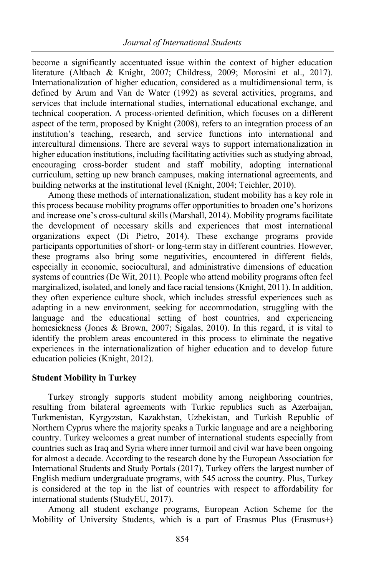become a significantly accentuated issue within the context of higher education literature (Altbach & Knight, 2007; Childress, 2009; Morosini et al., 2017). Internationalization of higher education, considered as a multidimensional term, is defined by Arum and Van de Water (1992) as several activities, programs, and services that include international studies, international educational exchange, and technical cooperation. A process-oriented definition, which focuses on a different aspect of the term, proposed by Knight (2008), refers to an integration process of an institution's teaching, research, and service functions into international and intercultural dimensions. There are several ways to support internationalization in higher education institutions, including facilitating activities such as studying abroad, encouraging cross-border student and staff mobility, adopting international curriculum, setting up new branch campuses, making international agreements, and building networks at the institutional level (Knight, 2004; Teichler, 2010).

Among these methods of internationalization, student mobility has a key role in this process because mobility programs offer opportunities to broaden one's horizons and increase one's cross-cultural skills (Marshall, 2014). Mobility programs facilitate the development of necessary skills and experiences that most international organizations expect (Di Pietro, 2014). These exchange programs provide participants opportunities of short- or long-term stay in different countries. However, these programs also bring some negativities, encountered in different fields, especially in economic, sociocultural, and administrative dimensions of education systems of countries (De Wit, 2011). People who attend mobility programs often feel marginalized, isolated, and lonely and face racial tensions (Knight, 2011). In addition, they often experience culture shock, which includes stressful experiences such as adapting in a new environment, seeking for accommodation, struggling with the language and the educational setting of host countries, and experiencing homesickness (Jones & Brown, 2007; Sigalas, 2010). In this regard, it is vital to identify the problem areas encountered in this process to eliminate the negative experiences in the internationalization of higher education and to develop future education policies (Knight, 2012).

## **Student Mobility in Turkey**

Turkey strongly supports student mobility among neighboring countries, resulting from bilateral agreements with Turkic republics such as Azerbaijan, Turkmenistan, Kyrgyzstan, Kazakhstan, Uzbekistan, and Turkish Republic of Northern Cyprus where the majority speaks a Turkic language and are a neighboring country. Turkey welcomes a great number of international students especially from countries such as Iraq and Syria where inner turmoil and civil war have been ongoing for almost a decade. According to the research done by the European Association for International Students and Study Portals (2017), Turkey offers the largest number of English medium undergraduate programs, with 545 across the country. Plus, Turkey is considered at the top in the list of countries with respect to affordability for international students (StudyEU, 2017).

Among all student exchange programs, European Action Scheme for the Mobility of University Students, which is a part of Erasmus Plus (Erasmus+)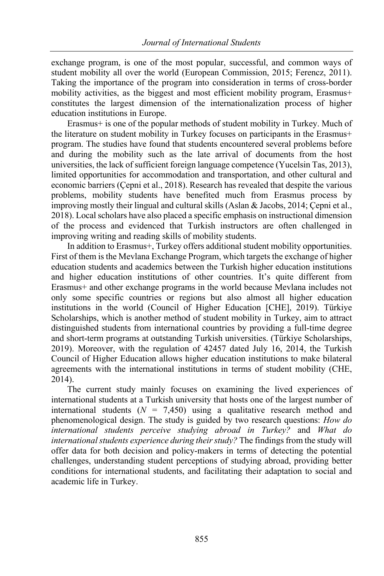exchange program, is one of the most popular, successful, and common ways of student mobility all over the world (European Commission, 2015; Ferencz, 2011). Taking the importance of the program into consideration in terms of cross-border mobility activities, as the biggest and most efficient mobility program, Erasmus+ constitutes the largest dimension of the internationalization process of higher education institutions in Europe.

Erasmus+ is one of the popular methods of student mobility in Turkey. Much of the literature on student mobility in Turkey focuses on participants in the Erasmus+ program. The studies have found that students encountered several problems before and during the mobility such as the late arrival of documents from the host universities, the lack of sufficient foreign language competence (Yucelsin Tas, 2013), limited opportunities for accommodation and transportation, and other cultural and economic barriers (Çepni et al., 2018). Research has revealed that despite the various problems, mobility students have benefited much from Erasmus process by improving mostly their lingual and cultural skills (Aslan & Jacobs, 2014; Çepni et al., 2018). Local scholars have also placed a specific emphasis on instructional dimension of the process and evidenced that Turkish instructors are often challenged in improving writing and reading skills of mobility students.

In addition to Erasmus+, Turkey offers additional student mobility opportunities. First of them is the Mevlana Exchange Program, which targets the exchange of higher education students and academics between the Turkish higher education institutions and higher education institutions of other countries. It's quite different from Erasmus+ and other exchange programs in the world because Mevlana includes not only some specific countries or regions but also almost all higher education institutions in the world (Council of Higher Education [CHE], 2019). Türkiye Scholarships, which is another method of student mobility in Turkey, aim to attract distinguished students from international countries by providing a full-time degree and short-term programs at outstanding Turkish universities. (Türkiye Scholarships, 2019). Moreover, with the regulation of 42457 dated July 16, 2014, the Turkish Council of Higher Education allows higher education institutions to make bilateral agreements with the international institutions in terms of student mobility (CHE, 2014).

The current study mainly focuses on examining the lived experiences of international students at a Turkish university that hosts one of the largest number of international students  $(N = 7,450)$  using a qualitative research method and phenomenological design. The study is guided by two research questions: *How do international students perceive studying abroad in Turkey?* and *What do international students experience during their study?* The findings from the study will offer data for both decision and policy-makers in terms of detecting the potential challenges, understanding student perceptions of studying abroad, providing better conditions for international students, and facilitating their adaptation to social and academic life in Turkey.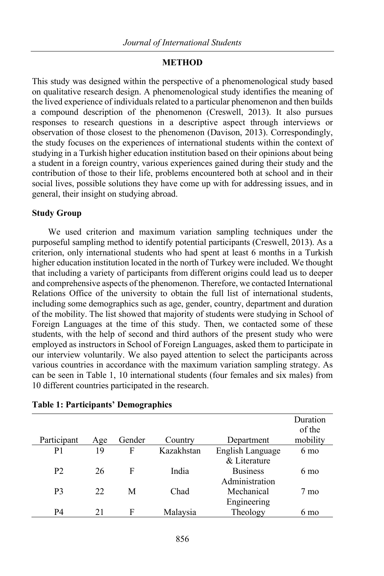#### **METHOD**

This study was designed within the perspective of a phenomenological study based on qualitative research design. A phenomenological study identifies the meaning of the lived experience of individuals related to a particular phenomenon and then builds a compound description of the phenomenon (Creswell, 2013). It also pursues responses to research questions in a descriptive aspect through interviews or observation of those closest to the phenomenon (Davison, 2013). Correspondingly, the study focuses on the experiences of international students within the context of studying in a Turkish higher education institution based on their opinions about being a student in a foreign country, various experiences gained during their study and the contribution of those to their life, problems encountered both at school and in their social lives, possible solutions they have come up with for addressing issues, and in general, their insight on studying abroad.

### **Study Group**

We used criterion and maximum variation sampling techniques under the purposeful sampling method to identify potential participants (Creswell, 2013). As a criterion, only international students who had spent at least 6 months in a Turkish higher education institution located in the north of Turkey were included. We thought that including a variety of participants from different origins could lead us to deeper and comprehensive aspects of the phenomenon. Therefore, we contacted International Relations Office of the university to obtain the full list of international students, including some demographics such as age, gender, country, department and duration of the mobility. The list showed that majority of students were studying in School of Foreign Languages at the time of this study. Then, we contacted some of these students, with the help of second and third authors of the present study who were employed as instructors in School of Foreign Languages, asked them to participate in our interview voluntarily. We also payed attention to select the participants across various countries in accordance with the maximum variation sampling strategy. As can be seen in Table 1, 10 international students (four females and six males) from 10 different countries participated in the research.

|                |     |        |            |                  | Duration |
|----------------|-----|--------|------------|------------------|----------|
|                |     |        |            |                  | of the   |
| Participant    | Age | Gender | Country    | Department       | mobility |
| P1             | 19  | F      | Kazakhstan | English Language | 6 mo     |
|                |     |        |            | & Literature     |          |
| P <sub>2</sub> | 26  | F      | India      | <b>Business</b>  | 6 mo     |
|                |     |        |            | Administration   |          |
| P <sub>3</sub> | 22  | М      | Chad       | Mechanical       | 7 mo     |
|                |     |        |            | Engineering      |          |
| P4             | 21  | F      | Malaysia   | Theology         | 6 mo     |

## **Table 1: Participants' Demographics**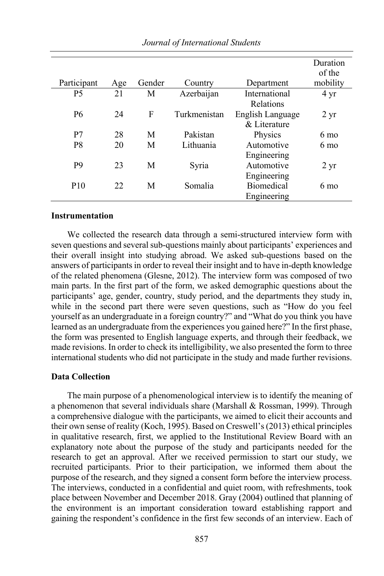|                 |     |        |              |                   | Duration          |
|-----------------|-----|--------|--------------|-------------------|-------------------|
|                 |     |        |              |                   | of the            |
| Participant     | Age | Gender | Country      | Department        | mobility          |
| <b>P5</b>       | 21  | М      | Azerbaijan   | International     | $4 \text{ yr}$    |
|                 |     |        |              | Relations         |                   |
| P <sub>6</sub>  | 24  | F      | Turkmenistan | English Language  | $2 \,\mathrm{yr}$ |
|                 |     |        |              | & Literature      |                   |
| P <sub>7</sub>  | 28  | M      | Pakistan     | Physics           | $6 \text{ mo}$    |
| P <sub>8</sub>  | 20  | M      | Lithuania    | Automotive        | $6 \text{ mo}$    |
|                 |     |        |              | Engineering       |                   |
| P <sub>9</sub>  | 23  | M      | Syria        | Automotive        | $2 \,\mathrm{yr}$ |
|                 |     |        |              | Engineering       |                   |
| P <sub>10</sub> | 22  | M      | Somalia      | <b>Biomedical</b> | 6 mo              |
|                 |     |        |              | Engineering       |                   |

### **Instrumentation**

We collected the research data through a semi-structured interview form with seven questions and several sub-questions mainly about participants' experiences and their overall insight into studying abroad. We asked sub-questions based on the answers of participants in order to reveal their insight and to have in-depth knowledge of the related phenomena (Glesne, 2012). The interview form was composed of two main parts. In the first part of the form, we asked demographic questions about the participants' age, gender, country, study period, and the departments they study in, while in the second part there were seven questions, such as "How do you feel yourself as an undergraduate in a foreign country?" and "What do you think you have learned as an undergraduate from the experiences you gained here?" In the first phase, the form was presented to English language experts, and through their feedback, we made revisions. In order to check its intelligibility, we also presented the form to three international students who did not participate in the study and made further revisions.

### **Data Collection**

The main purpose of a phenomenological interview is to identify the meaning of a phenomenon that several individuals share (Marshall  $& Rosman, 1999$ ). Through a comprehensive dialogue with the participants, we aimed to elicit their accounts and their own sense of reality (Koch, 1995). Based on Creswell's (2013) ethical principles in qualitative research, first, we applied to the Institutional Review Board with an explanatory note about the purpose of the study and participants needed for the research to get an approval. After we received permission to start our study, we recruited participants. Prior to their participation, we informed them about the purpose of the research, and they signed a consent form before the interview process. The interviews, conducted in a confidential and quiet room, with refreshments, took place between November and December 2018. Gray (2004) outlined that planning of the environment is an important consideration toward establishing rapport and gaining the respondent's confidence in the first few seconds of an interview. Each of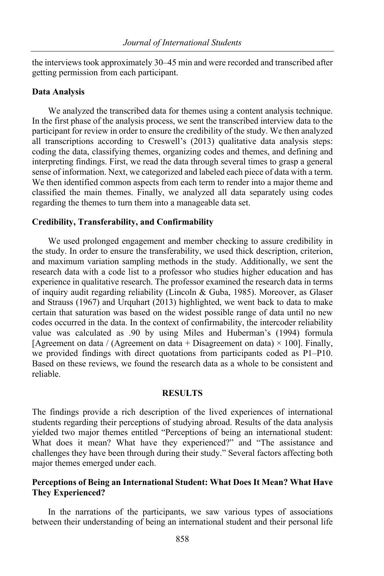the interviews took approximately 30–45 min and were recorded and transcribed after getting permission from each participant.

#### **Data Analysis**

We analyzed the transcribed data for themes using a content analysis technique. In the first phase of the analysis process, we sent the transcribed interview data to the participant for review in order to ensure the credibility of the study. We then analyzed all transcriptions according to Creswell's (2013) qualitative data analysis steps: coding the data, classifying themes, organizing codes and themes, and defining and interpreting findings. First, we read the data through several times to grasp a general sense of information. Next, we categorized and labeled each piece of data with a term. We then identified common aspects from each term to render into a major theme and classified the main themes. Finally, we analyzed all data separately using codes regarding the themes to turn them into a manageable data set.

#### **Credibility, Transferability, and Confirmability**

We used prolonged engagement and member checking to assure credibility in the study. In order to ensure the transferability, we used thick description, criterion, and maximum variation sampling methods in the study. Additionally, we sent the research data with a code list to a professor who studies higher education and has experience in qualitative research. The professor examined the research data in terms of inquiry audit regarding reliability (Lincoln & Guba, 1985). Moreover, as Glaser and Strauss (1967) and Urquhart (2013) highlighted, we went back to data to make certain that saturation was based on the widest possible range of data until no new codes occurred in the data. In the context of confirmability, the intercoder reliability value was calculated as .90 by using Miles and Huberman's (1994) formula [Agreement on data / (Agreement on data + Disagreement on data)  $\times$  100]. Finally, we provided findings with direct quotations from participants coded as P1–P10. Based on these reviews, we found the research data as a whole to be consistent and reliable.

#### **RESULTS**

The findings provide a rich description of the lived experiences of international students regarding their perceptions of studying abroad. Results of the data analysis yielded two major themes entitled "Perceptions of being an international student: What does it mean? What have they experienced?" and "The assistance and challenges they have been through during their study." Several factors affecting both major themes emerged under each.

## **Perceptions of Being an International Student: What Does It Mean? What Have They Experienced?**

In the narrations of the participants, we saw various types of associations between their understanding of being an international student and their personal life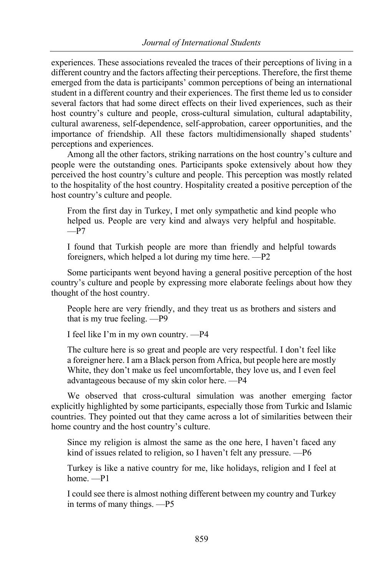experiences. These associations revealed the traces of their perceptions of living in a different country and the factors affecting their perceptions. Therefore, the first theme emerged from the data is participants' common perceptions of being an international student in a different country and their experiences. The first theme led us to consider several factors that had some direct effects on their lived experiences, such as their host country's culture and people, cross-cultural simulation, cultural adaptability, cultural awareness, self-dependence, self-approbation, career opportunities, and the importance of friendship. All these factors multidimensionally shaped students' perceptions and experiences.

Among all the other factors, striking narrations on the host country's culture and people were the outstanding ones. Participants spoke extensively about how they perceived the host country's culture and people. This perception was mostly related to the hospitality of the host country. Hospitality created a positive perception of the host country's culture and people.

From the first day in Turkey, I met only sympathetic and kind people who helped us. People are very kind and always very helpful and hospitable.  $-P7$ 

I found that Turkish people are more than friendly and helpful towards foreigners, which helped a lot during my time here. —P2

Some participants went beyond having a general positive perception of the host country's culture and people by expressing more elaborate feelings about how they thought of the host country.

People here are very friendly, and they treat us as brothers and sisters and that is my true feeling. —P9

I feel like I'm in my own country. —P4

The culture here is so great and people are very respectful. I don't feel like a foreigner here. I am a Black person from Africa, but people here are mostly White, they don't make us feel uncomfortable, they love us, and I even feel advantageous because of my skin color here. —P4

We observed that cross-cultural simulation was another emerging factor explicitly highlighted by some participants, especially those from Turkic and Islamic countries. They pointed out that they came across a lot of similarities between their home country and the host country's culture.

Since my religion is almost the same as the one here, I haven't faced any kind of issues related to religion, so I haven't felt any pressure. —P6

Turkey is like a native country for me, like holidays, religion and I feel at home. —P1

I could see there is almost nothing different between my country and Turkey in terms of many things. —P5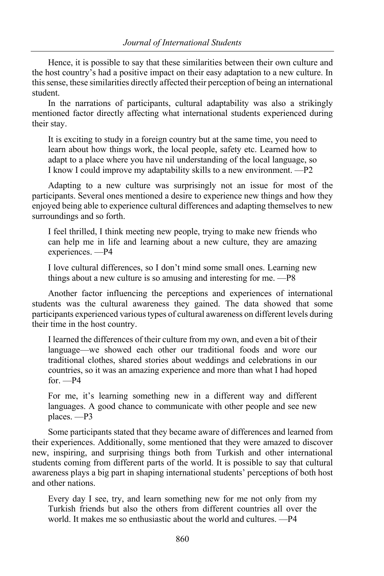Hence, it is possible to say that these similarities between their own culture and the host country's had a positive impact on their easy adaptation to a new culture. In this sense, these similarities directly affected their perception of being an international student.

In the narrations of participants, cultural adaptability was also a strikingly mentioned factor directly affecting what international students experienced during their stay.

It is exciting to study in a foreign country but at the same time, you need to learn about how things work, the local people, safety etc. Learned how to adapt to a place where you have nil understanding of the local language, so I know I could improve my adaptability skills to a new environment. —P2

Adapting to a new culture was surprisingly not an issue for most of the participants. Several ones mentioned a desire to experience new things and how they enjoyed being able to experience cultural differences and adapting themselves to new surroundings and so forth.

I feel thrilled, I think meeting new people, trying to make new friends who can help me in life and learning about a new culture, they are amazing experiences. —P4

I love cultural differences, so I don't mind some small ones. Learning new things about a new culture is so amusing and interesting for me. —P8

Another factor influencing the perceptions and experiences of international students was the cultural awareness they gained. The data showed that some participants experienced various types of cultural awareness on different levels during their time in the host country.

I learned the differences of their culture from my own, and even a bit of their language—we showed each other our traditional foods and wore our traditional clothes, shared stories about weddings and celebrations in our countries, so it was an amazing experience and more than what I had hoped  $for. -P4$ 

For me, it's learning something new in a different way and different languages. A good chance to communicate with other people and see new places. —P3

Some participants stated that they became aware of differences and learned from their experiences. Additionally, some mentioned that they were amazed to discover new, inspiring, and surprising things both from Turkish and other international students coming from different parts of the world. It is possible to say that cultural awareness plays a big part in shaping international students' perceptions of both host and other nations.

Every day I see, try, and learn something new for me not only from my Turkish friends but also the others from different countries all over the world. It makes me so enthusiastic about the world and cultures. —P4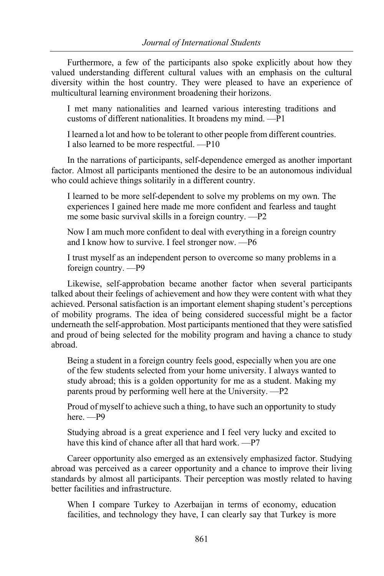Furthermore, a few of the participants also spoke explicitly about how they valued understanding different cultural values with an emphasis on the cultural diversity within the host country. They were pleased to have an experience of multicultural learning environment broadening their horizons.

I met many nationalities and learned various interesting traditions and customs of different nationalities. It broadens my mind. —P1

I learned a lot and how to be tolerant to other people from different countries. I also learned to be more respectful. —P10

In the narrations of participants, self-dependence emerged as another important factor. Almost all participants mentioned the desire to be an autonomous individual who could achieve things solitarily in a different country.

I learned to be more self-dependent to solve my problems on my own. The experiences I gained here made me more confident and fearless and taught me some basic survival skills in a foreign country. —P2

Now I am much more confident to deal with everything in a foreign country and I know how to survive. I feel stronger now. —P6

I trust myself as an independent person to overcome so many problems in a foreign country. —P9

Likewise, self-approbation became another factor when several participants talked about their feelings of achievement and how they were content with what they achieved. Personal satisfaction is an important element shaping student's perceptions of mobility programs. The idea of being considered successful might be a factor underneath the self-approbation. Most participants mentioned that they were satisfied and proud of being selected for the mobility program and having a chance to study abroad.

Being a student in a foreign country feels good, especially when you are one of the few students selected from your home university. I always wanted to study abroad; this is a golden opportunity for me as a student. Making my parents proud by performing well here at the University. —P2

Proud of myself to achieve such a thing, to have such an opportunity to study here. —P9

Studying abroad is a great experience and I feel very lucky and excited to have this kind of chance after all that hard work. —P7

Career opportunity also emerged as an extensively emphasized factor. Studying abroad was perceived as a career opportunity and a chance to improve their living standards by almost all participants. Their perception was mostly related to having better facilities and infrastructure.

When I compare Turkey to Azerbaijan in terms of economy, education facilities, and technology they have, I can clearly say that Turkey is more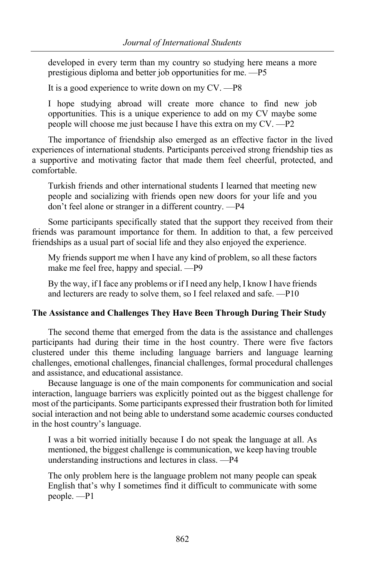developed in every term than my country so studying here means a more prestigious diploma and better job opportunities for me. —P5

It is a good experience to write down on my CV. —P8

I hope studying abroad will create more chance to find new job opportunities. This is a unique experience to add on my CV maybe some people will choose me just because I have this extra on my CV. —P2

The importance of friendship also emerged as an effective factor in the lived experiences of international students. Participants perceived strong friendship ties as a supportive and motivating factor that made them feel cheerful, protected, and comfortable.

Turkish friends and other international students I learned that meeting new people and socializing with friends open new doors for your life and you don't feel alone or stranger in a different country. —P4

Some participants specifically stated that the support they received from their friends was paramount importance for them. In addition to that, a few perceived friendships as a usual part of social life and they also enjoyed the experience.

My friends support me when I have any kind of problem, so all these factors make me feel free, happy and special. —P9

By the way, if I face any problems or if I need any help, I know I have friends and lecturers are ready to solve them, so I feel relaxed and safe. —P10

#### **The Assistance and Challenges They Have Been Through During Their Study**

The second theme that emerged from the data is the assistance and challenges participants had during their time in the host country. There were five factors clustered under this theme including language barriers and language learning challenges, emotional challenges, financial challenges, formal procedural challenges and assistance, and educational assistance.

Because language is one of the main components for communication and social interaction, language barriers was explicitly pointed out as the biggest challenge for most of the participants. Some participants expressed their frustration both for limited social interaction and not being able to understand some academic courses conducted in the host country's language.

I was a bit worried initially because I do not speak the language at all. As mentioned, the biggest challenge is communication, we keep having trouble understanding instructions and lectures in class. —P4

The only problem here is the language problem not many people can speak English that's why I sometimes find it difficult to communicate with some people. —P1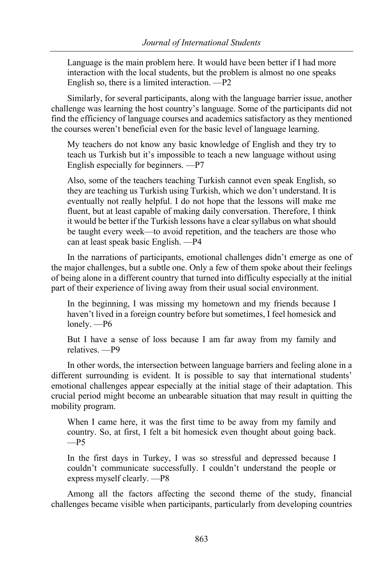Language is the main problem here. It would have been better if I had more interaction with the local students, but the problem is almost no one speaks English so, there is a limited interaction. —P2

Similarly, for several participants, along with the language barrier issue, another challenge was learning the host country's language. Some of the participants did not find the efficiency of language courses and academics satisfactory as they mentioned the courses weren't beneficial even for the basic level of language learning.

My teachers do not know any basic knowledge of English and they try to teach us Turkish but it's impossible to teach a new language without using English especially for beginners. —P7

Also, some of the teachers teaching Turkish cannot even speak English, so they are teaching us Turkish using Turkish, which we don't understand. It is eventually not really helpful. I do not hope that the lessons will make me fluent, but at least capable of making daily conversation. Therefore, I think it would be better if the Turkish lessons have a clear syllabus on what should be taught every week—to avoid repetition, and the teachers are those who can at least speak basic English. —P4

In the narrations of participants, emotional challenges didn't emerge as one of the major challenges, but a subtle one. Only a few of them spoke about their feelings of being alone in a different country that turned into difficulty especially at the initial part of their experience of living away from their usual social environment.

In the beginning, I was missing my hometown and my friends because I haven't lived in a foreign country before but sometimes, I feel homesick and lonely. —P6

But I have a sense of loss because I am far away from my family and relatives. —P9

In other words, the intersection between language barriers and feeling alone in a different surrounding is evident. It is possible to say that international students' emotional challenges appear especially at the initial stage of their adaptation. This crucial period might become an unbearable situation that may result in quitting the mobility program.

When I came here, it was the first time to be away from my family and country. So, at first, I felt a bit homesick even thought about going back.  $-P5$ 

In the first days in Turkey, I was so stressful and depressed because I couldn't communicate successfully. I couldn't understand the people or express myself clearly. —P8

Among all the factors affecting the second theme of the study, financial challenges became visible when participants, particularly from developing countries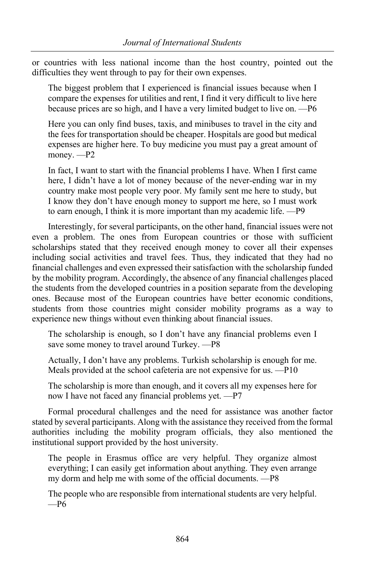or countries with less national income than the host country, pointed out the difficulties they went through to pay for their own expenses.

The biggest problem that I experienced is financial issues because when I compare the expenses for utilities and rent, I find it very difficult to live here because prices are so high, and I have a very limited budget to live on. —P6

Here you can only find buses, taxis, and minibuses to travel in the city and the fees for transportation should be cheaper. Hospitals are good but medical expenses are higher here. To buy medicine you must pay a great amount of money. —P2

In fact, I want to start with the financial problems I have. When I first came here, I didn't have a lot of money because of the never-ending war in my country make most people very poor. My family sent me here to study, but I know they don't have enough money to support me here, so I must work to earn enough, I think it is more important than my academic life. —P9

Interestingly, for several participants, on the other hand, financial issues were not even a problem. The ones from European countries or those with sufficient scholarships stated that they received enough money to cover all their expenses including social activities and travel fees. Thus, they indicated that they had no financial challenges and even expressed their satisfaction with the scholarship funded by the mobility program. Accordingly, the absence of any financial challenges placed the students from the developed countries in a position separate from the developing ones. Because most of the European countries have better economic conditions, students from those countries might consider mobility programs as a way to experience new things without even thinking about financial issues.

The scholarship is enough, so I don't have any financial problems even I save some money to travel around Turkey. —P8

Actually, I don't have any problems. Turkish scholarship is enough for me. Meals provided at the school cafeteria are not expensive for us. —P10

The scholarship is more than enough, and it covers all my expenses here for now I have not faced any financial problems yet. —P7

Formal procedural challenges and the need for assistance was another factor stated by several participants. Along with the assistance they received from the formal authorities including the mobility program officials, they also mentioned the institutional support provided by the host university.

The people in Erasmus office are very helpful. They organize almost everything; I can easily get information about anything. They even arrange my dorm and help me with some of the official documents. —P8

The people who are responsible from international students are very helpful.  $-P6$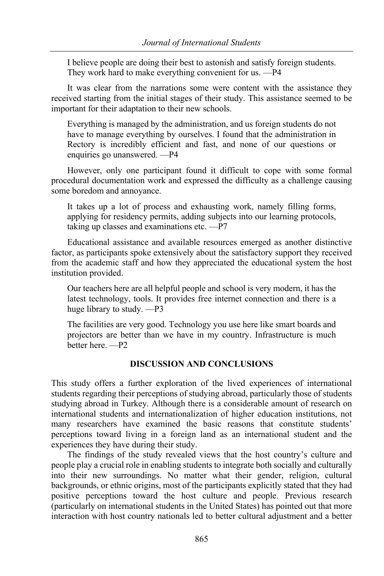I believe people are doing their best to astonish and satisfy foreign students. They work hard to make everything convenient for us. —P4

It was clear from the narrations some were content with the assistance they received starting from the initial stages of their study. This assistance seemed to be important for their adaptation to their new schools.

Everything is managed by the administration, and us foreign students do not have to manage everything by ourselves. I found that the administration in Rectory is incredibly efficient and fast, and none of our questions or enquiries go unanswered. —P4

However, only one participant found it difficult to cope with some formal procedural documentation work and expressed the difficulty as a challenge causing some boredom and annoyance.

It takes up a lot of process and exhausting work, namely filling forms, applying for residency permits, adding subjects into our learning protocols, taking up classes and examinations etc. —P7

Educational assistance and available resources emerged as another distinctive factor, as participants spoke extensively about the satisfactory support they received from the academic staff and how they appreciated the educational system the host institution provided.

Our teachers here are all helpful people and school is very modern, it has the latest technology, tools. It provides free internet connection and there is a huge library to study. —P3

The facilities are very good. Technology you use here like smart boards and projectors are better than we have in my country. Infrastructure is much better here. —P2

# **DISCUSSION AND CONCLUSIONS**

This study offers a further exploration of the lived experiences of international students regarding their perceptions of studying abroad, particularly those of students studying abroad in Turkey. Although there is a considerable amount of research on international students and internationalization of higher education institutions, not many researchers have examined the basic reasons that constitute students' perceptions toward living in a foreign land as an international student and the experiences they have during their study.

The findings of the study revealed views that the host country's culture and people play a crucial role in enabling students to integrate both socially and culturally into their new surroundings. No matter what their gender, religion, cultural backgrounds, or ethnic origins, most of the participants explicitly stated that they had positive perceptions toward the host culture and people. Previous research (particularly on international students in the United States) has pointed out that more interaction with host country nationals led to better cultural adjustment and a better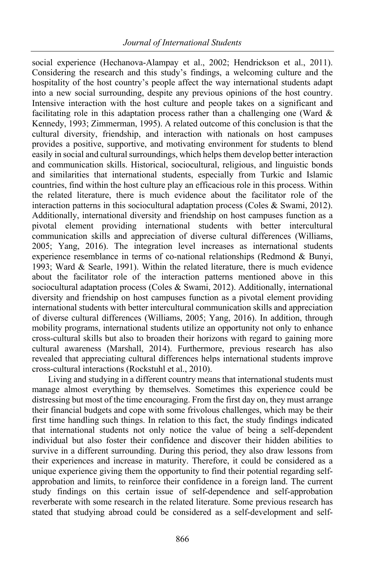social experience (Hechanova-Alampay et al., 2002; Hendrickson et al., 2011). Considering the research and this study's findings, a welcoming culture and the hospitality of the host country's people affect the way international students adapt into a new social surrounding, despite any previous opinions of the host country. Intensive interaction with the host culture and people takes on a significant and facilitating role in this adaptation process rather than a challenging one (Ward  $\&$ Kennedy, 1993; Zimmerman, 1995). A related outcome of this conclusion is that the cultural diversity, friendship, and interaction with nationals on host campuses provides a positive, supportive, and motivating environment for students to blend easily in social and cultural surroundings, which helps them develop better interaction and communication skills. Historical, sociocultural, religious, and linguistic bonds and similarities that international students, especially from Turkic and Islamic countries, find within the host culture play an efficacious role in this process. Within the related literature, there is much evidence about the facilitator role of the interaction patterns in this sociocultural adaptation process (Coles & Swami, 2012). Additionally, international diversity and friendship on host campuses function as a pivotal element providing international students with better intercultural communication skills and appreciation of diverse cultural differences (Williams, 2005; Yang, 2016). The integration level increases as international students experience resemblance in terms of co-national relationships (Redmond & Bunyi, 1993; Ward & Searle, 1991). Within the related literature, there is much evidence about the facilitator role of the interaction patterns mentioned above in this sociocultural adaptation process (Coles & Swami, 2012). Additionally, international diversity and friendship on host campuses function as a pivotal element providing international students with better intercultural communication skills and appreciation of diverse cultural differences (Williams, 2005; Yang, 2016). In addition, through mobility programs, international students utilize an opportunity not only to enhance cross-cultural skills but also to broaden their horizons with regard to gaining more cultural awareness (Marshall, 2014). Furthermore, previous research has also revealed that appreciating cultural differences helps international students improve cross-cultural interactions (Rockstuhl et al., 2010).

Living and studying in a different country means that international students must manage almost everything by themselves. Sometimes this experience could be distressing but most of the time encouraging. From the first day on, they must arrange their financial budgets and cope with some frivolous challenges, which may be their first time handling such things. In relation to this fact, the study findings indicated that international students not only notice the value of being a self-dependent individual but also foster their confidence and discover their hidden abilities to survive in a different surrounding. During this period, they also draw lessons from their experiences and increase in maturity. Therefore, it could be considered as a unique experience giving them the opportunity to find their potential regarding selfapprobation and limits, to reinforce their confidence in a foreign land. The current study findings on this certain issue of self-dependence and self-approbation reverberate with some research in the related literature. Some previous research has stated that studying abroad could be considered as a self-development and self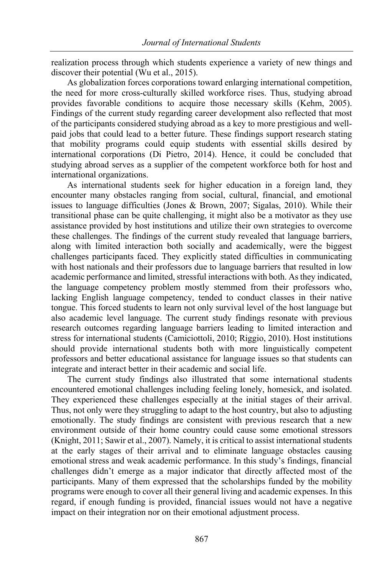realization process through which students experience a variety of new things and discover their potential (Wu et al., 2015).

As globalization forces corporations toward enlarging international competition, the need for more cross-culturally skilled workforce rises. Thus, studying abroad provides favorable conditions to acquire those necessary skills (Kehm, 2005). Findings of the current study regarding career development also reflected that most of the participants considered studying abroad as a key to more prestigious and wellpaid jobs that could lead to a better future. These findings support research stating that mobility programs could equip students with essential skills desired by international corporations (Di Pietro, 2014). Hence, it could be concluded that studying abroad serves as a supplier of the competent workforce both for host and international organizations.

As international students seek for higher education in a foreign land, they encounter many obstacles ranging from social, cultural, financial, and emotional issues to language difficulties (Jones & Brown, 2007; Sigalas, 2010). While their transitional phase can be quite challenging, it might also be a motivator as they use assistance provided by host institutions and utilize their own strategies to overcome these challenges. The findings of the current study revealed that language barriers, along with limited interaction both socially and academically, were the biggest challenges participants faced. They explicitly stated difficulties in communicating with host nationals and their professors due to language barriers that resulted in low academic performance and limited, stressful interactions with both. As they indicated, the language competency problem mostly stemmed from their professors who, lacking English language competency, tended to conduct classes in their native tongue. This forced students to learn not only survival level of the host language but also academic level language. The current study findings resonate with previous research outcomes regarding language barriers leading to limited interaction and stress for international students (Camiciottoli, 2010; Riggio, 2010). Host institutions should provide international students both with more linguistically competent professors and better educational assistance for language issues so that students can integrate and interact better in their academic and social life.

The current study findings also illustrated that some international students encountered emotional challenges including feeling lonely, homesick, and isolated. They experienced these challenges especially at the initial stages of their arrival. Thus, not only were they struggling to adapt to the host country, but also to adjusting emotionally. The study findings are consistent with previous research that a new environment outside of their home country could cause some emotional stressors (Knight, 2011; Sawir et al., 2007). Namely, it is critical to assist international students at the early stages of their arrival and to eliminate language obstacles causing emotional stress and weak academic performance. In this study's findings, financial challenges didn't emerge as a major indicator that directly affected most of the participants. Many of them expressed that the scholarships funded by the mobility programs were enough to cover all their general living and academic expenses. In this regard, if enough funding is provided, financial issues would not have a negative impact on their integration nor on their emotional adjustment process.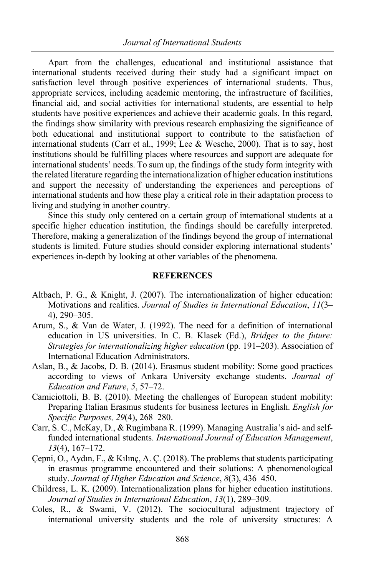Apart from the challenges, educational and institutional assistance that international students received during their study had a significant impact on satisfaction level through positive experiences of international students. Thus, appropriate services, including academic mentoring, the infrastructure of facilities, financial aid, and social activities for international students, are essential to help students have positive experiences and achieve their academic goals. In this regard, the findings show similarity with previous research emphasizing the significance of both educational and institutional support to contribute to the satisfaction of international students (Carr et al., 1999; Lee & Wesche, 2000). That is to say, host institutions should be fulfilling places where resources and support are adequate for international students' needs. To sum up, the findings of the study form integrity with the related literature regarding the internationalization of higher education institutions and support the necessity of understanding the experiences and perceptions of international students and how these play a critical role in their adaptation process to living and studying in another country.

Since this study only centered on a certain group of international students at a specific higher education institution, the findings should be carefully interpreted. Therefore, making a generalization of the findings beyond the group of international students is limited. Future studies should consider exploring international students' experiences in-depth by looking at other variables of the phenomena.

## **REFERENCES**

- Altbach, P. G., & Knight, J. (2007). The internationalization of higher education: Motivations and realities. *Journal of Studies in International Education*, *11*(3– 4), 290–305.
- Arum, S., & Van de Water, J. (1992). The need for a definition of international education in US universities. In C. B. Klasek (Ed.), *Bridges to the future: Strategies for internationalizing higher education* (pp. 191–203). Association of International Education Administrators.
- Aslan, B., & Jacobs, D. B. (2014). Erasmus student mobility: Some good practices according to views of Ankara University exchange students. *Journal of Education and Future*, *5*, 57–72.
- Camiciottoli, B. B. (2010). Meeting the challenges of European student mobility: Preparing Italian Erasmus students for business lectures in English. *English for Specific Purposes, 29*(4), 268–280.
- Carr, S. C., McKay, D., & Rugimbana R. (1999). Managing Australia's aid- and selffunded international students. *International Journal of Education Management*, *13*(4), 167–172.
- Çepni, O., Aydın, F., & Kılınç, A. Ç. (2018). The problems that students participating in erasmus programme encountered and their solutions: A phenomenological study. *Journal of Higher Education and Science*, *8*(3), 436–450.
- Childress, L. K. (2009). Internationalization plans for higher education institutions. *Journal of Studies in International Education*, *13*(1), 289–309.
- Coles, R., & Swami, V. (2012). The sociocultural adjustment trajectory of international university students and the role of university structures: A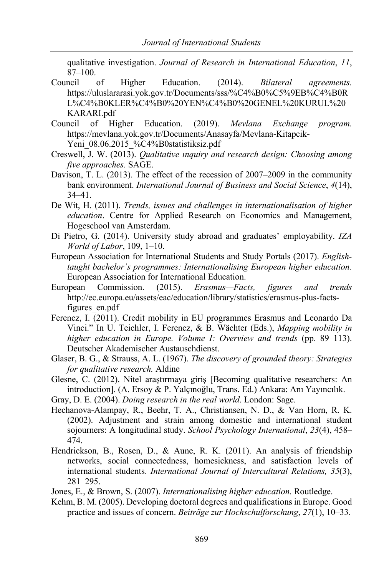qualitative investigation. *Journal of Research in International Education*, *11*, 87–100.

- Council of Higher Education. (2014). *Bilateral agreements.* https://uluslararasi.yok.gov.tr/Documents/sss/%C4%B0%C5%9EB%C4%B0R L%C4%B0KLER%C4%B0%20YEN%C4%B0%20GENEL%20KURUL%20 KARARI.pdf
- Council of Higher Education. (2019). *Mevlana Exchange program.* https://mevlana.yok.gov.tr/Documents/Anasayfa/Mevlana-Kitapcik-Yeni\_08.06.2015\_%C4%B0statistiksiz.pdf
- Creswell, J. W. (2013). *Qualitative ınquiry and research design: Choosing among five approaches.* SAGE.
- Davison, T. L. (2013). The effect of the recession of 2007–2009 in the community bank environment. *International Journal of Business and Social Science*, *4*(14), 34–41.
- De Wit, H. (2011). *Trends, issues and challenges in internationalisation of higher education*. Centre for Applied Research on Economics and Management, Hogeschool van Amsterdam.
- Di Pietro, G. (2014). University study abroad and graduates' employability. *IZA World of Labor*, 109, 1–10.
- European Association for International Students and Study Portals (2017). *Englishtaught bachelor's programmes: Internationalising European higher education.* European Association for International Education.
- European Commission. (2015). *Erasmus—Facts, figures and trends*  http://ec.europa.eu/assets/eac/education/library/statistics/erasmus-plus-factsfigures\_en.pdf
- Ferencz, I. (2011). Credit mobility in EU programmes Erasmus and Leonardo Da Vinci." In U. Teichler, I. Ferencz, & B. Wächter (Eds.), *Mapping mobility in higher education in Europe. Volume I: Overview and trends* (pp. 89–113). Deutscher Akademischer Austauschdienst.
- Glaser, B. G., & Strauss, A. L. (1967). *The discovery of grounded theory: Strategies for qualitative research.* Aldine
- Glesne, C. (2012). Nitel araştırmaya giriş [Becoming qualitative researchers: An introduction]. (A. Ersoy & P. Yalçınoğlu, Trans. Ed.) Ankara: Anı Yayıncılık.
- Gray, D. E. (2004). *Doing research in the real world*. London: Sage.
- Hechanova-Alampay, R., Beehr, T. A., Christiansen, N. D., & Van Horn, R. K. (2002). Adjustment and strain among domestic and international student sojourners: A longitudinal study. *School Psychology International*, *23*(4), 458– 474.
- Hendrickson, B., Rosen, D., & Aune, R. K. (2011). An analysis of friendship networks, social connectedness, homesickness, and satisfaction levels of international students. *International Journal of Intercultural Relations, 35*(3), 281–295.
- Jones, E., & Brown, S. (2007). *Internationalising higher education.* Routledge.
- Kehm, B. M. (2005). Developing doctoral degrees and qualifications in Europe. Good practice and issues of concern. *Beiträge zur Hochschulforschung*, *27*(1), 10–33.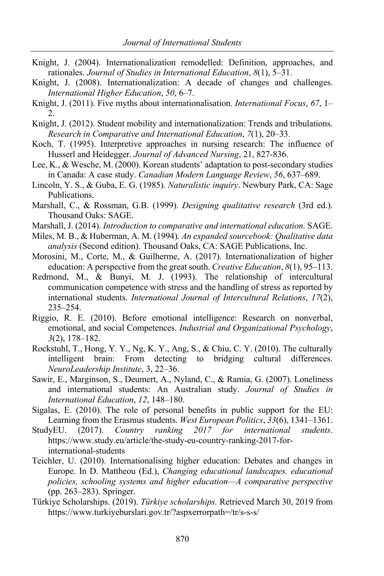- Knight, J. (2004). Internationalization remodelled: Definition, approaches, and rationales. *Journal of Studies in International Education*, *8*(1), 5–31.
- Knight, J. (2008). Internationalization: A decade of changes and challenges. *International Higher Education*, *50*, 6–7.
- Knight, J. (2011). Five myths about internationalisation. *International Focus*, *67*, 1– 2.
- Knight, J. (2012). Student mobility and internationalization: Trends and tribulations. *Research in Comparative and International Education*, *7*(1), 20–33.
- Koch, T. (1995). Interpretive approaches in nursing research: The influence of Husserl and Heidegger. *Journal of Advanced Nursing*, 21, 827-836.
- Lee, K., & Wesche, M. (2000). Korean students' adaptation to post-secondary studies in Canada: A case study. *Canadian Modern Language Review*, *56*, 637–689.
- Lincoln, Y. S., & Guba, E. G. (1985). *Naturalistic inquiry*. Newbury Park, CA: Sage Publications.
- Marshall, C., & Rossman, G.B. (1999). *Designing qualitative research* (3rd ed.). Thousand Oaks: SAGE.
- Marshall, J. (2014). *Introduction to comparative and international education.* SAGE.
- Miles, M. B., & Huberman, A. M. (1994). *An expanded sourcebook: Qualitative data analysis* (Second edition). Thousand Oaks, CA: SAGE Publications, Inc.
- Morosini, M., Corte, M., & Guilherme, A. (2017). Internationalization of higher education: A perspective from the great south. *Creative Education*, *8*(1), 95–113.
- Redmond, M., & Bunyi, M. J. (1993). The relationship of intercultural communication competence with stress and the handling of stress as reported by international students. *International Journal of Intercultural Relations*, *17*(2), 235–254.
- Riggio, R. E. (2010). Before emotional intelligence: Research on nonverbal, emotional, and social Competences. *Industrial and Organizational Psychology*, *3*(2), 178–182.
- Rockstuhl, T., Hong, Y. Y., Ng, K. Y., Ang, S., & Chiu, C. Y. (2010). The culturally intelligent brain: From detecting to bridging cultural differences. *NeuroLeadership Institute*, 3, 22–36.
- Sawir, E., Marginson, S., Deumert, A., Nyland, C., & Ramia, G. (2007). Loneliness and international students: An Australian study. *Journal of Studies in International Education*, *12*, 148–180.
- Sigalas, E. (2010). The role of personal benefits in public support for the EU: Learning from the Erasmus students. *West European Politics*, *33*(6), 1341–1361.
- StudyEU. (2017). *Country ranking 2017 for international students*. https://www.study.eu/article/the-study-eu-country-ranking-2017-forinternational-students
- Teichler, U. (2010). Internationalising higher education: Debates and changes in Europe. In D. Mattheou (Ed.), *Changing educational landscapes. educational policies, schooling systems and higher education—A comparative perspective* (pp. 263–283). Springer.
- Türkiye Scholarships. (2019). *Türkiye scholarships.* Retrieved March 30, 2019 from https://www.turkiyeburslari.gov.tr/?aspxerrorpath=/tr/s-s-s/